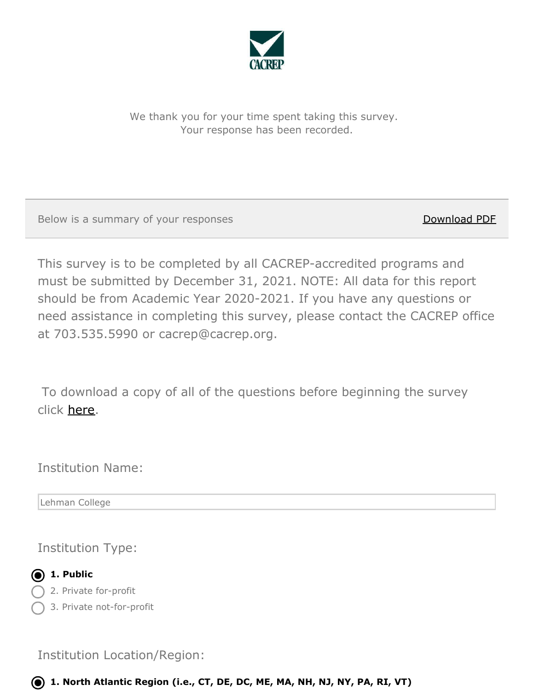

We thank you for your time spent taking this survey. Your response has been recorded.

Below is a summary of your responses Download PDF

This survey is to be completed by all CACREP-accredited programs and must be submitted by December 31, 2021. NOTE: All data for this report should be from Academic Year 2020-2021. If you have any questions or need assistance in completing this survey, please contact the CACREP office at 703.535.5990 or cacrep@cacrep.org.

To download a copy of all of the questions before beginning the survey click [here](https://cacrep.qualtrics.com/WRQualtricsControlPanel/File.php?F=F_exsTOWZNToQM1p4).

Institution Name:

Lehman College

Institution Type:



2. Private for-profit

3. Private not-for-profit

Institution Location/Region:

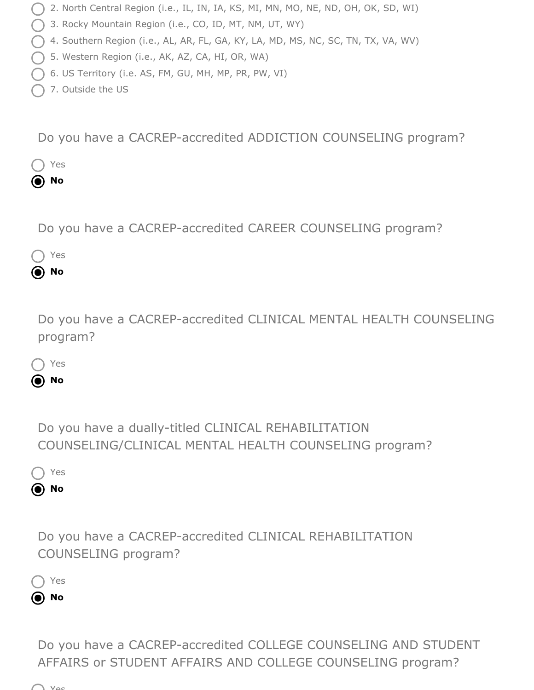- 2. North Central Region (i.e., IL, IN, IA, KS, MI, MN, MO, NE, ND, OH, OK, SD, WI)
- 3. Rocky Mountain Region (i.e., CO, ID, MT, NM, UT, WY)
- 4. Southern Region (i.e., AL, AR, FL, GA, KY, LA, MD, MS, NC, SC, TN, TX, VA, WV)
- 5. Western Region (i.e., AK, AZ, CA, HI, OR, WA)
- $\bigcap$  6. US Territory (i.e. AS, FM, GU, MH, MP, PR, PW, VI)
- 7. Outside the US

Do you have a CACREP-accredited ADDICTION COUNSELING program?



Do you have a CACREP-accredited CAREER COUNSELING program?



Do you have a CACREP-accredited CLINICAL MENTAL HEALTH COUNSELING program?

| . .<br>- 11<br>۰.<br>v. |
|-------------------------|
|-------------------------|

**No**

Do you have a dually-titled CLINICAL REHABILITATION COUNSELING/CLINICAL MENTAL HEALTH COUNSELING program?



Do you have a CACREP-accredited CLINICAL REHABILITATION COUNSELING program?

Yes **No**

> Do you have a CACREP-accredited COLLEGE COUNSELING AND STUDENT AFFAIRS or STUDENT AFFAIRS AND COLLEGE COUNSELING program?

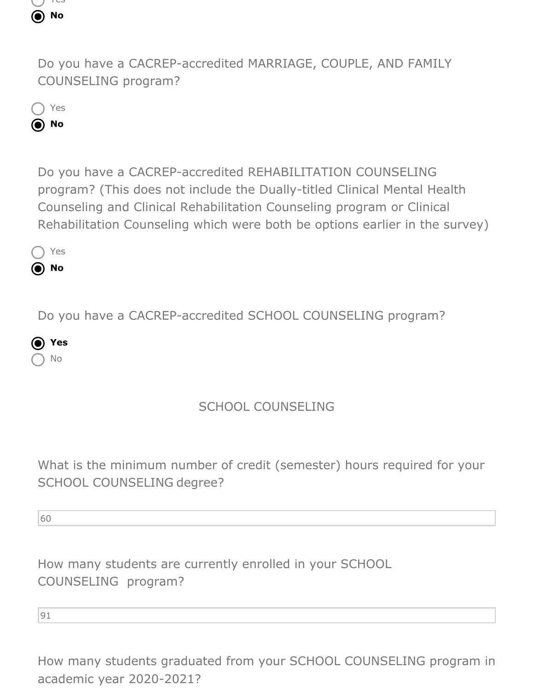

Do you have a CACREP-accredited MARRIAGE, COUPLE, AND FAMILY COUNSELING program?

Yes **No**

> Do you have a CACREP-accredited REHABILITATION COUNSELING program? (This does not include the Dually-titled Clinical Mental Health Counseling and Clinical Rehabilitation Counseling program or Clinical Rehabilitation Counseling which were both be options earlier in the survey)

◯ Yes **No**

Do you have a CACREP-accredited SCHOOL COUNSELING program?

**Yes** No

# SCHOOL COUNSELING

What is the minimum number of credit (semester) hours required for your SCHOOL COUNSELING degree?

60

How many students are currently enrolled in your SCHOOL COUNSELING program?

91

How many students graduated from your SCHOOL COUNSELING program in academic year 2020-2021?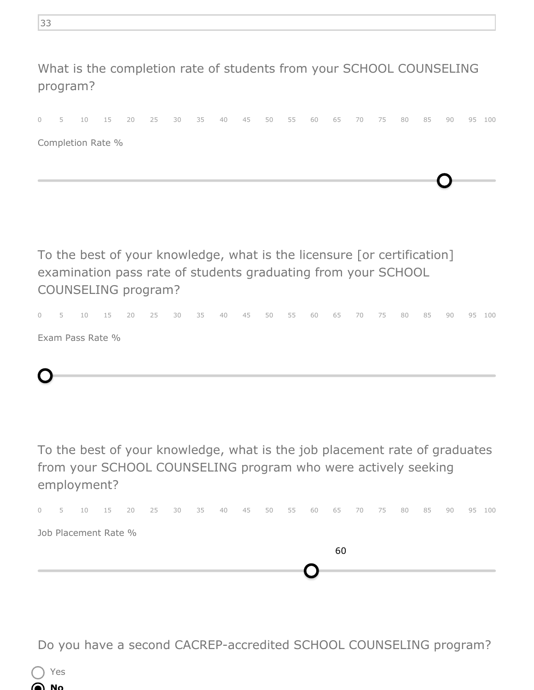What is the completion rate of students from your SCHOOL COUNSELING program?

|  |                   |  | 0 5 10 15 20 25 30 35 40 45 50 55 60 65 70 75 80 85 90 95 100 |  |  |  |  |  |  |  |  |
|--|-------------------|--|---------------------------------------------------------------|--|--|--|--|--|--|--|--|
|  | Completion Rate % |  |                                                               |  |  |  |  |  |  |  |  |

To the best of your knowledge, what is the licensure [or certification] examination pass rate of students graduating from your SCHOOL COUNSELING program?

0 5 10 15 20 25 30 35 40 45 50 55 60 65 70 75 80 85 90 95 100

Exam Pass Rate %



To the best of your knowledge, what is the job placement rate of graduates from your SCHOOL COUNSELING program who were actively seeking employment?



Do you have a second CACREP-accredited SCHOOL COUNSELING program?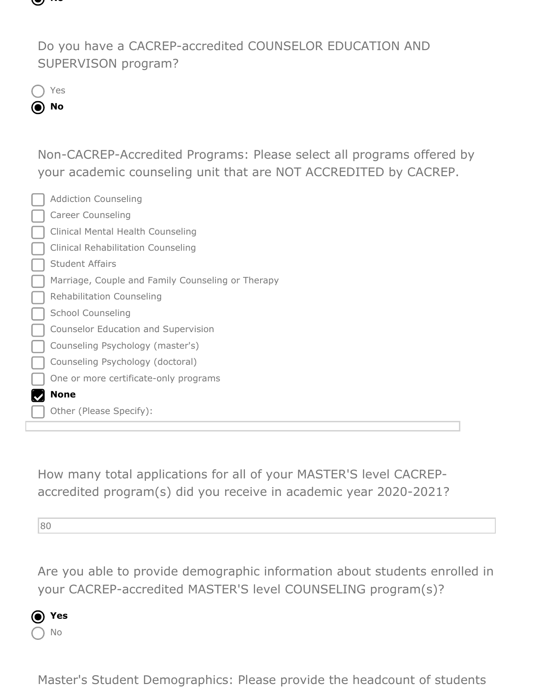

Do you have a CACREP-accredited COUNSELOR EDUCATION AND SUPERVISON program?

Yes

**No**

Non-CACREP-Accredited Programs: Please select all programs offered by your academic counseling unit that are NOT ACCREDITED by CACREP.

| <b>Addiction Counseling</b>                       |
|---------------------------------------------------|
| <b>Career Counseling</b>                          |
| <b>Clinical Mental Health Counseling</b>          |
| <b>Clinical Rehabilitation Counseling</b>         |
| <b>Student Affairs</b>                            |
| Marriage, Couple and Family Counseling or Therapy |
| <b>Rehabilitation Counseling</b>                  |
| <b>School Counseling</b>                          |
| Counselor Education and Supervision               |
| Counseling Psychology (master's)                  |
| Counseling Psychology (doctoral)                  |
| One or more certificate-only programs             |
| <b>None</b>                                       |
| Other (Please Specify):                           |

How many total applications for all of your MASTER'S level CACREPaccredited program(s) did you receive in academic year 2020-2021?

80

Are you able to provide demographic information about students enrolled in your CACREP-accredited MASTER'S level COUNSELING program(s)?



Master's Student Demographics: Please provide the headcount of students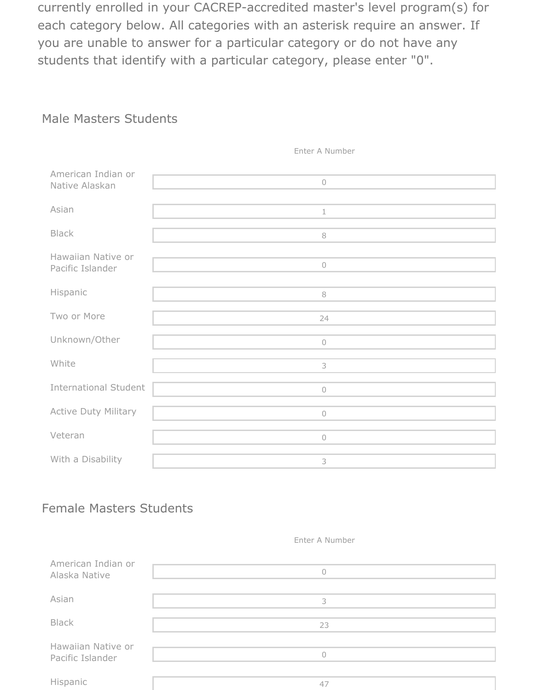currently enrolled in your CACREP-accredited master's level program(s) for each category below. All categories with an asterisk require an answer. If you are unable to answer for a particular category or do not have any students that identify with a particular category, please enter "0".

### Male Masters Students

| American Indian or<br>Native Alaskan   | $\bigcirc$ |
|----------------------------------------|------------|
| Asian                                  | $\perp$    |
| <b>Black</b>                           | $\,8\,$    |
| Hawaiian Native or<br>Pacific Islander | $\bigcirc$ |
| Hispanic                               | $\,8\,$    |
| Two or More                            | 24         |
| Unknown/Other                          | $\bigcirc$ |
| White                                  | 3          |
| <b>International Student</b>           | $\bigcirc$ |
| Active Duty Military                   | $\bigcirc$ |
| Veteran                                | $\sqrt{a}$ |
| With a Disability                      | 3          |

Enter A Number

#### Female Masters Students

#### Enter A Number

| American Indian or<br>Alaska Native    |    |
|----------------------------------------|----|
| Asian                                  |    |
| <b>Black</b>                           | 23 |
| Hawaiian Native or<br>Pacific Islander |    |
| Hispanic                               | 4. |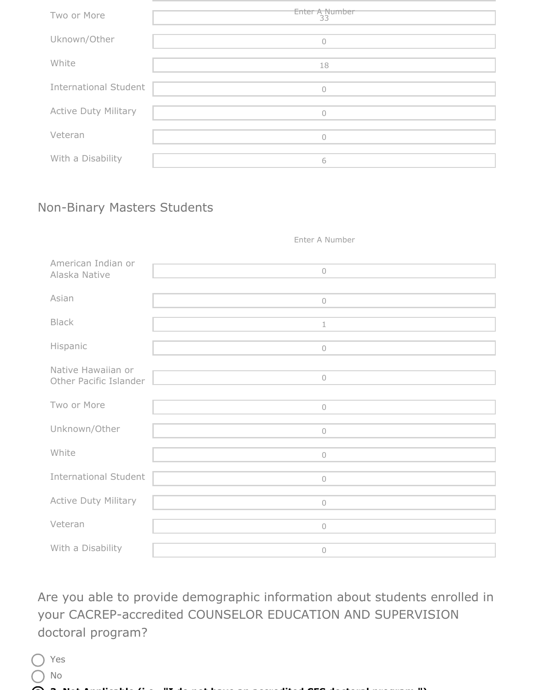| Two or More                  | Enter A Number<br>33 |
|------------------------------|----------------------|
| Uknown/Other                 | U                    |
| White                        | 18                   |
| <b>International Student</b> | $\bigcap$            |
| <b>Active Duty Military</b>  | ∩                    |
| Veteran                      | $\cap$               |
| With a Disability            | 6                    |

## Non-Binary Masters Students

Enter A Number

| American Indian or<br>Alaska Native          | $\cup$     |
|----------------------------------------------|------------|
| Asian                                        | $\bigcirc$ |
| <b>Black</b>                                 | $\perp$    |
| Hispanic                                     | $\bigcirc$ |
| Native Hawaiian or<br>Other Pacific Islander | $\bigcirc$ |
| Two or More                                  | $\bigcirc$ |
| Unknown/Other                                | $\bigcirc$ |
| White                                        | $\circ$    |
| <b>International Student</b>                 | $\bigcirc$ |
| Active Duty Military                         | $\bigcirc$ |
| Veteran                                      | $\cup$     |
| With a Disability                            | $\circ$    |

Are you able to provide demographic information about students enrolled in your CACREP-accredited COUNSELOR EDUCATION AND SUPERVISION doctoral program?

| Yes |  |  |
|-----|--|--|
| No  |  |  |

**3. Not Applicable (i.e., "I do not have an accredited CES doctoral program.")**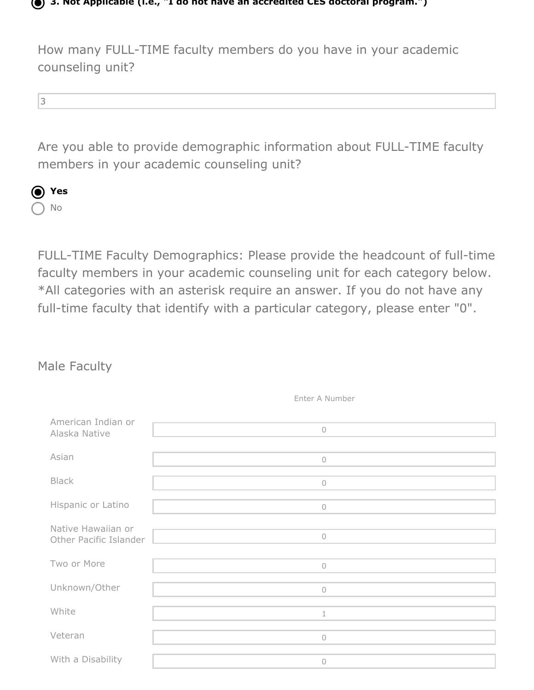

**3. Not Applicable (i.e., "I do not have an accredited CES doctoral program.")**

How many FULL-TIME faculty members do you have in your academic counseling unit?

3

Are you able to provide demographic information about FULL-TIME faculty members in your academic counseling unit?



FULL-TIME Faculty Demographics: Please provide the headcount of full-time faculty members in your academic counseling unit for each category below. \*All categories with an asterisk require an answer. If you do not have any full-time faculty that identify with a particular category, please enter "0".

## Male Faculty

| American Indian or<br>Alaska Native          | $\bigcirc$ |
|----------------------------------------------|------------|
| Asian                                        | $\cup$     |
| <b>Black</b>                                 | $\bigcirc$ |
| Hispanic or Latino                           | $\bigcirc$ |
| Native Hawaiian or<br>Other Pacific Islander | $\circ$    |
| Two or More                                  | $\cup$     |
| Unknown/Other                                | $\bigcirc$ |
| White                                        | 1          |
| Veteran                                      | $\bigcirc$ |
| With a Disability                            | 0          |

Enter A Number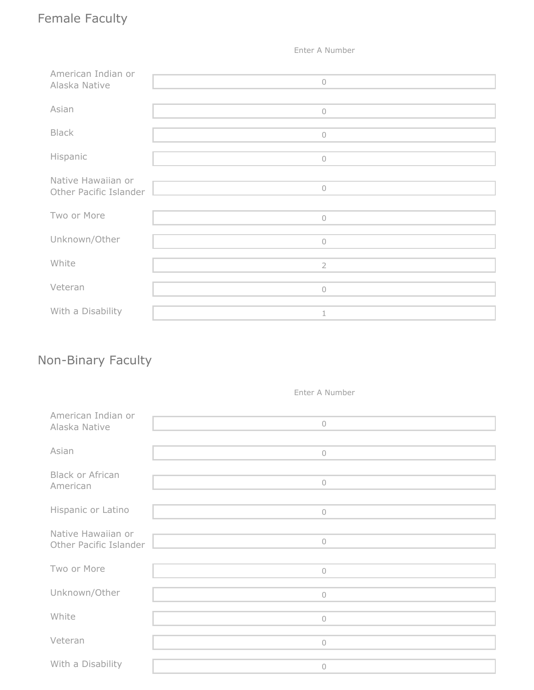# Female Faculty

Enter A Number

| American Indian or<br>Alaska Native          | $\bigcirc$          |
|----------------------------------------------|---------------------|
| Asian                                        | $\circlearrowright$ |
| <b>Black</b>                                 | $\bigcirc$          |
| Hispanic                                     | $\circ$             |
| Native Hawaiian or<br>Other Pacific Islander | $\circlearrowright$ |
| Two or More                                  | $\circ$             |
| Unknown/Other                                | $\circlearrowright$ |
| White                                        | $\overline{2}$      |
| Veteran                                      | $\circlearrowright$ |
| With a Disability                            | 1                   |

# Non-Binary Faculty

Enter A Number

| American Indian or<br>Alaska Native          | $\bigcirc$          |
|----------------------------------------------|---------------------|
| Asian                                        | $\circlearrowright$ |
| <b>Black or African</b><br>American          | $\bigcirc$          |
| Hispanic or Latino                           | $\bigcirc$          |
| Native Hawaiian or<br>Other Pacific Islander | $\bigcirc$          |
| Two or More                                  | $\circlearrowright$ |
| Unknown/Other                                | $\circ$             |
| White                                        | $\circ$             |
| Veteran                                      | $\bigcirc$          |
| With a Disability                            | $\circ$             |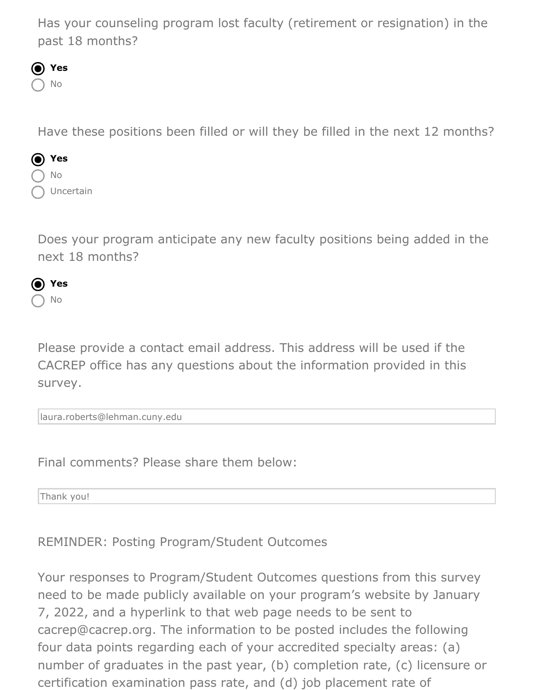Has your counseling program lost faculty (retirement or resignation) in the past 18 months?



Have these positions been filled or will they be filled in the next 12 months?



Does your program anticipate any new faculty positions being added in the next 18 months?



Please provide a contact email address. This address will be used if the CACREP office has any questions about the information provided in this survey.

laura.roberts@lehman.cuny.edu

Final comments? Please share them below:

Thank you!

REMINDER: Posting Program/Student Outcomes

Your responses to Program/Student Outcomes questions from this survey need to be made publicly available on your program's website by January 7, 2022, and a hyperlink to that web page needs to be sent to cacrep@cacrep.org. The information to be posted includes the following four data points regarding each of your accredited specialty areas: (a) number of graduates in the past year, (b) completion rate, (c) licensure or certification examination pass rate, and (d) job placement rate of